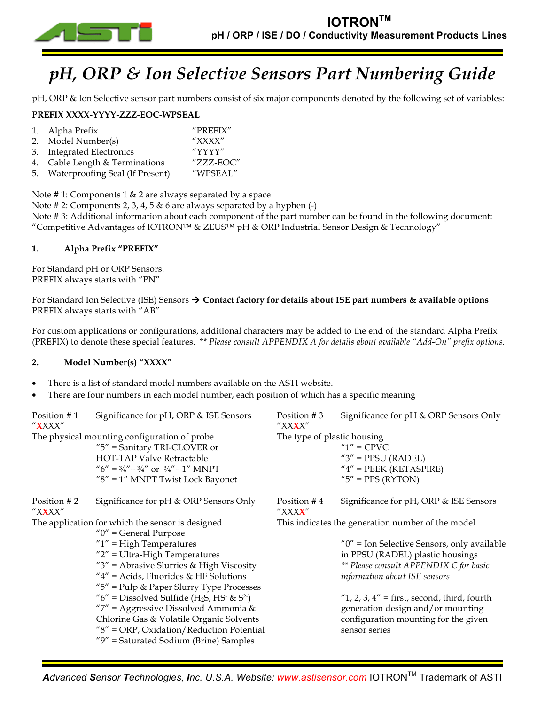

# *pH, ORP & Ion Selective Sensors Part Numbering Guide*

pH, ORP & Ion Selective sensor part numbers consist of six major components denoted by the following set of variables:

# **PREFIX XXXX-YYYY-ZZZ-EOC-WPSEAL**

|    | 1. Alpha Prefix<br>2. Model Number(s)<br>3. Integrated Electronics | "PREFIX"<br>$''$ XXXX"<br>"YYYY" |
|----|--------------------------------------------------------------------|----------------------------------|
|    | 4. Cable Length & Terminations                                     | "ZZZ-EOC"                        |
| 5. | <b>Waterproofing Seal (If Present)</b>                             | "WPSEAL"                         |

Note # 1: Components 1 & 2 are always separated by a space

Note # 2: Components 2, 3, 4, 5 & 6 are always separated by a hyphen (-)

Note # 3: Additional information about each component of the part number can be found in the following document: "Competitive Advantages of IOTRON™ & ZEUS™ pH & ORP Industrial Sensor Design & Technology"

# **1. Alpha Prefix "PREFIX"**

For Standard pH or ORP Sensors: PREFIX always starts with "PN"

For Standard Ion Selective (ISE) Sensors ! **Contact factory for details about ISE part numbers & available options** PREFIX always starts with "AB"

For custom applications or configurations, additional characters may be added to the end of the standard Alpha Prefix (PREFIX) to denote these special features. \**\* Please consult APPENDIX A for details about available "Add-On" prefix options.*

# **2. Model Number(s) "XXXX"**

- There is a list of standard model numbers available on the ASTI website.
- There are four numbers in each model number, each position of which has a specific meaning

| Position #1<br>" <b>X</b> XXX" | Significance for pH, ORP & ISE Sensors                                                                                                                                                                                                                                                                         | Position #3<br>"XX <b>X</b> X" | Significance for pH & ORP Sensors Only                                                                                                        |
|--------------------------------|----------------------------------------------------------------------------------------------------------------------------------------------------------------------------------------------------------------------------------------------------------------------------------------------------------------|--------------------------------|-----------------------------------------------------------------------------------------------------------------------------------------------|
|                                | The physical mounting configuration of probe<br>$"5"$ = Sanitary TRI-CLOVER or<br><b>HOT-TAP Valve Retractable</b><br>" $6'' = 3/4'' - 3/4''$ or $3/4'' - 1''$ MNPT<br>" $8" = 1"$ MNPT Twist Lock Bayonet                                                                                                     | The type of plastic housing    | $"1"$ = CPVC<br>" $3$ " = PPSU (RADEL)<br>$''4''$ = PEEK (KETASPIRE)<br>" $5$ " = PPS (RYTON)                                                 |
| Position #2<br>" $XXX"$        | Significance for pH & ORP Sensors Only                                                                                                                                                                                                                                                                         | Position #4<br>"XXX <b>X</b> " | Significance for pH, ORP & ISE Sensors                                                                                                        |
|                                | The application for which the sensor is designed<br>" $0$ " = General Purpose                                                                                                                                                                                                                                  |                                | This indicates the generation number of the model                                                                                             |
|                                | " $1$ " = High Temperatures                                                                                                                                                                                                                                                                                    |                                | " $0$ " = Ion Selective Sensors, only available                                                                                               |
|                                | $"2"$ = Ultra-High Temperatures                                                                                                                                                                                                                                                                                |                                | in PPSU (RADEL) plastic housings                                                                                                              |
|                                | " $3$ " = Abrasive Slurries & High Viscosity                                                                                                                                                                                                                                                                   |                                | ** Please consult APPENDIX C for basic                                                                                                        |
|                                | " $4"$ = Acids, Fluorides & HF Solutions                                                                                                                                                                                                                                                                       |                                | information about ISE sensors                                                                                                                 |
|                                | " $5$ " = Pulp & Paper Slurry Type Processes<br>" $6$ " = Dissolved Sulfide (H <sub>2</sub> S, HS <sup>-</sup> & S <sup>2-</sup> )<br>"7" = Aggressive Dissolved Ammonia &<br>Chlorine Gas & Volatile Organic Solvents<br>$"8" = ORP, Oxidation/Reduction Potential$<br>"9" = Saturated Sodium (Brine) Samples |                                | " $1, 2, 3, 4$ " = first, second, third, fourth<br>generation design and/or mounting<br>configuration mounting for the given<br>sensor series |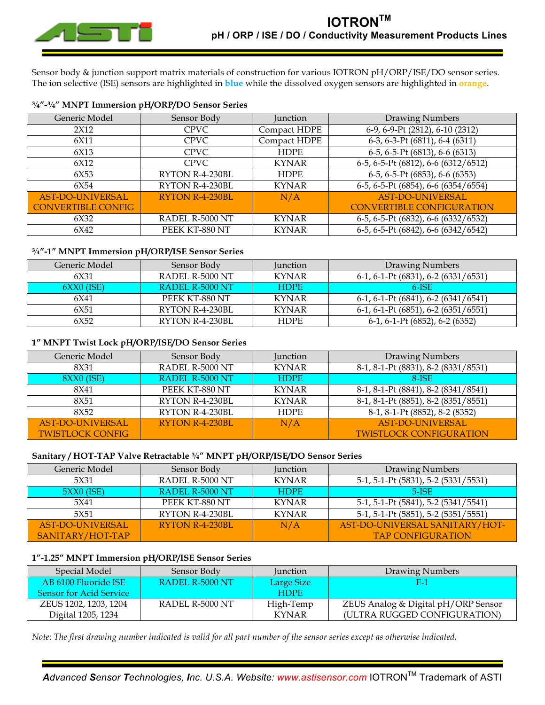

Sensor body & junction support matrix materials of construction for various IOTRON pH/ORP/ISE/DO sensor series. The ion selective (ISE) sensors are highlighted in **blue** while the dissolved oxygen sensors are highlighted in **orange**.

| Generic Model             | Sensor Body     | Junction     | Drawing Numbers                              |
|---------------------------|-----------------|--------------|----------------------------------------------|
| 2X12                      | <b>CPVC</b>     | Compact HDPE | 6-9, 6-9-Pt (2812), 6-10 (2312)              |
| 6X11                      | <b>CPVC</b>     | Compact HDPE | 6-3, 6-3-Pt (6811), 6-4 (6311)               |
| 6X13                      | <b>CPVC</b>     | <b>HDPE</b>  | $\overline{6-5}$ , 6-5-Pt (6813), 6-6 (6313) |
| 6X12                      | <b>CPVC</b>     | <b>KYNAR</b> | 6-5, 6-5-Pt (6812), 6-6 (6312/6512)          |
| 6X53                      | RYTON R-4-230BL | <b>HDPE</b>  | 6-5, 6-5-Pt (6853), 6-6 (6353)               |
| 6X54                      | RYTON R-4-230BL | <b>KYNAR</b> | 6-5, 6-5-Pt (6854), 6-6 (6354/6554)          |
| <b>AST-DO-UNIVERSAL</b>   | RYTON R-4-230BL | N/A          | <b>AST-DO-UNIVERSAL</b>                      |
| <b>CONVERTIBLE CONFIG</b> |                 |              | <b>CONVERTIBLE CONFIGURATION</b>             |
| 6X32                      | RADEL R-5000 NT | <b>KYNAR</b> | 6-5, 6-5-Pt (6832), 6-6 (6332/6532)          |
| 6X42                      | PEEK KT-880 NT  | <b>KYNAR</b> | 6-5, 6-5-Pt (6842), 6-6 (6342/6542)          |

## **¾"-1" MNPT Immersion pH/ORP/ISE Sensor Series**

| Generic Model | Sensor Body            | <b>Iunction</b> | Drawing Numbers                                  |
|---------------|------------------------|-----------------|--------------------------------------------------|
| 6X31          | <b>RADEL R-5000 NT</b> | <b>KYNAR</b>    | $6-1$ , $6-1$ -Pt $(6831)$ , $6-2$ $(6331/6531)$ |
| $6XX0$ (ISE)  | RADEL R-5000 NT        | <b>HDPE</b>     | $6$ -ISE                                         |
| 6X41          | PEEK KT-880 NT         | <b>KYNAR</b>    | $6-1, 6-1-Pt (6841), 6-2 (6341/6541)$            |
| 6X51          | RYTON R-4-230BL        | <b>KYNAR</b>    | $6-1, 6-1-Pt (6851), 6-2 (6351/6551)$            |
| 6X52          | RYTON R-4-230BL        | <b>HDPE</b>     | 6-1, 6-1-Pt (6852), 6-2 (6352)                   |

## **1" MNPT Twist Lock pH/ORP/ISE/DO Sensor Series**

| Generic Model           | Sensor Body     | <b>Junction</b> | Drawing Numbers                     |
|-------------------------|-----------------|-----------------|-------------------------------------|
| 8X31                    | RADEL R-5000 NT | <b>KYNAR</b>    | 8-1, 8-1-Pt (8831), 8-2 (8331/8531) |
| $8XX0$ (ISE)            | RADEL R-5000 NT | <b>HDPE</b>     | $8-ISE$                             |
| 8X41                    | PEEK KT-880 NT  | <b>KYNAR</b>    | 8-1, 8-1-Pt (8841), 8-2 (8341/8541) |
| 8X51                    | RYTON R-4-230BL | <b>KYNAR</b>    | 8-1, 8-1-Pt (8851), 8-2 (8351/8551) |
| 8X52                    | RYTON R-4-230BL | <b>HDPE</b>     | 8-1, 8-1-Pt (8852), 8-2 (8352)      |
| <b>AST-DO-UNIVERSAL</b> | RYTON R-4-230BL | N/A             | <b>AST-DO-UNIVERSAL</b>             |
| <b>TWISTLOCK CONFIG</b> |                 |                 | <b>TWISTLOCK CONFIGURATION</b>      |

## **Sanitary / HOT-TAP Valve Retractable ¾" MNPT pH/ORP/ISE/DO Sensor Series**

| Generic Model    | Sensor Body     | <b>Junction</b> | Drawing Numbers                     |
|------------------|-----------------|-----------------|-------------------------------------|
| 5X31             | RADEL R-5000 NT | <b>KYNAR</b>    | 5-1, 5-1-Pt (5831), 5-2 (5331/5531) |
| $5XX0$ (ISE)     | RADEL R-5000 NT | <b>HDPE</b>     | $5$ -ISE                            |
| 5X41             | PEEK KT-880 NT  | <b>KYNAR</b>    | 5-1, 5-1-Pt (5841), 5-2 (5341/5541) |
| 5X51             | RYTON R-4-230BL | <b>KYNAR</b>    | 5-1, 5-1-Pt (5851), 5-2 (5351/5551) |
| AST-DO-UNIVERSAL | RYTON R-4-230BL | N/A             | AST-DO-UNIVERSAL SANITARY/HOT-      |
| SANITARY/HOT-TAP |                 |                 | <b>TAP CONFIGURATION</b>            |

# **1"-1.25" MNPT Immersion pH/ORP/ISE Sensor Series**

| Special Model                  | Sensor Body     | <b>Iunction</b> | Drawing Numbers                     |
|--------------------------------|-----------------|-----------------|-------------------------------------|
| AB 6100 Fluoride ISE           | RADEL R-5000 NT | Large Size      | н.                                  |
| <b>Sensor for Acid Service</b> |                 | <b>HDPE</b>     |                                     |
| ZEUS 1202, 1203, 1204          | RADEL R-5000 NT | High-Temp       | ZEUS Analog & Digital pH/ORP Sensor |
| Digital 1205, 1234             |                 | <b>KYNAR</b>    | (ULTRA RUGGED CONFIGURATION)        |

*Note: The first drawing number indicated is valid for all part number of the sensor series except as otherwise indicated.*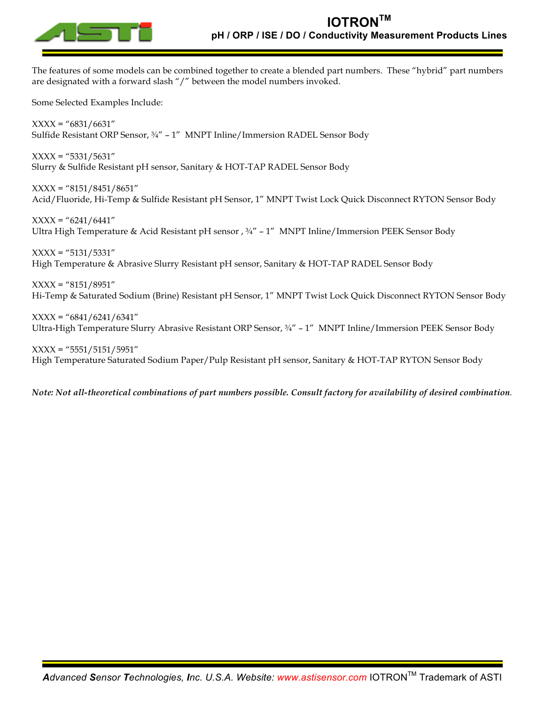

The features of some models can be combined together to create a blended part numbers. These "hybrid" part numbers are designated with a forward slash "/" between the model numbers invoked.

Some Selected Examples Include:

 $XXX = "6831/6631"$ Sulfide Resistant ORP Sensor, ¾" – 1" MNPT Inline/Immersion RADEL Sensor Body

 $XXX =$  "5331/5631" Slurry & Sulfide Resistant pH sensor, Sanitary & HOT-TAP RADEL Sensor Body

 $XXX =$  "8151/8451/8651" Acid/Fluoride, Hi-Temp & Sulfide Resistant pH Sensor, 1" MNPT Twist Lock Quick Disconnect RYTON Sensor Body

 $XXX =$  "6241/6441" Ultra High Temperature & Acid Resistant pH sensor , ¾" – 1" MNPT Inline/Immersion PEEK Sensor Body

 $XXX =$  "5131/5331" High Temperature & Abrasive Slurry Resistant pH sensor, Sanitary & HOT-TAP RADEL Sensor Body

 $XXXX = "8151/8951"$ Hi-Temp & Saturated Sodium (Brine) Resistant pH Sensor, 1" MNPT Twist Lock Quick Disconnect RYTON Sensor Body

 $XXX =$  "6841/6241/6341" Ultra-High Temperature Slurry Abrasive Resistant ORP Sensor, ¾" – 1" MNPT Inline/Immersion PEEK Sensor Body

 $XXX =$  "5551/5151/5951" High Temperature Saturated Sodium Paper/Pulp Resistant pH sensor, Sanitary & HOT-TAP RYTON Sensor Body

*Note: Not all-theoretical combinations of part numbers possible. Consult factory for availability of desired combination.*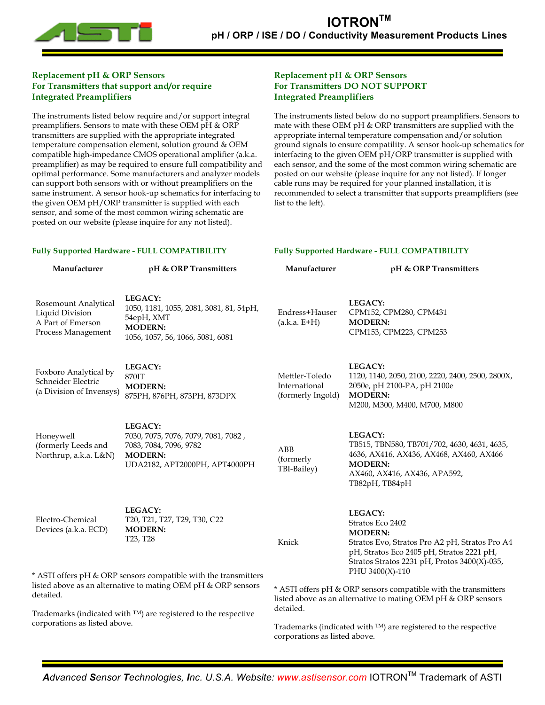

# **Replacement pH & ORP Sensors For Transmitters that support and/or require Integrated Preamplifiers**

The instruments listed below require and/or support integral preamplifiers. Sensors to mate with these OEM pH & ORP transmitters are supplied with the appropriate integrated temperature compensation element, solution ground & OEM compatible high-impedance CMOS operational amplifier (a.k.a. preamplifier) as may be required to ensure full compatibility and optimal performance. Some manufacturers and analyzer models can support both sensors with or without preamplifiers on the same instrument. A sensor hook-up schematics for interfacing to the given OEM pH/ORP transmitter is supplied with each sensor, and some of the most common wiring schematic are posted on our website (please inquire for any not listed).

## **Replacement pH & ORP Sensors For Transmitters DO NOT SUPPORT Integrated Preamplifiers**

The instruments listed below do no support preamplifiers. Sensors to mate with these OEM pH & ORP transmitters are supplied with the appropriate internal temperature compensation and/or solution ground signals to ensure compatility. A sensor hook-up schematics for interfacing to the given OEM pH/ORP transmitter is supplied with each sensor, and the some of the most common wiring schematic are posted on our website (please inquire for any not listed). If longer cable runs may be required for your planned installation, it is recommended to select a transmitter that supports preamplifiers (see list to the left).

**Fully Supported Hardware - FULL COMPATIBILITY**

#### **Fully Supported Hardware - FULL COMPATIBILITY**

**Manufacturer pH & ORP Transmitters** Rosemount Analytical Liquid Division A Part of Emerson Process Management **LEGACY:** 1050, 1181, 1055, 2081, 3081, 81, 54pH, 54epH, XMT **MODERN:** 1056, 1057, 56, 1066, 5081, 6081 Foxboro Analytical by Schneider Electric (a Division of Invensys) **LEGACY:** 870IT **MODERN:**  875PH, 876PH, 873PH, 873DPX Honeywell (formerly Leeds and Northrup, a.k.a. L&N) **LEGACY:** 7030, 7075, 7076, 7079, 7081, 7082 , 7083, 7084, 7096, 9782 **MODERN:** UDA2182, APT2000PH, APT4000PH Electro-Chemical Devices (a.k.a. ECD) **LEGACY:** T20, T21, T27, T29, T30, C22 **MODERN:**  T23, T28 \* ASTI offers pH & ORP sensors compatible with the transmitters listed above as an alternative to mating OEM pH & ORP sensors detailed. Trademarks (indicated with TM) are registered to the respective corporations as listed above. **Manufacturer pH & ORP Transmitters** Endress+Hauser (a.k.a. E+H) **LEGACY:** CPM152, CPM280, CPM431 **MODERN:**  CPM153, CPM223, CPM253 Mettler-Toledo International (formerly Ingold) **LEGACY:** 1120, 1140, 2050, 2100, 2220, 2400, 2500, 2800X, 2050e, pH 2100-PA, pH 2100e **MODERN:** M200, M300, M400, M700, M800 ABB (formerly TBI-Bailey) **LEGACY:** TB515, TBN580, TB701/702, 4630, 4631, 4635, 4636, AX416, AX436, AX468, AX460, AX466 **MODERN:** AX460, AX416, AX436, APA592, TB82pH, TB84pH Knick **LEGACY:** Stratos Eco 2402 **MODERN:** Stratos Evo, Stratos Pro A2 pH, Stratos Pro A4 pH, Stratos Eco 2405 pH, Stratos 2221 pH, Stratos Stratos 2231 pH, Protos 3400(X)-035, PHU 3400(X)-110 \* ASTI offers pH & ORP sensors compatible with the transmitters listed above as an alternative to mating OEM pH & ORP sensors detailed.

Trademarks (indicated with TM) are registered to the respective corporations as listed above.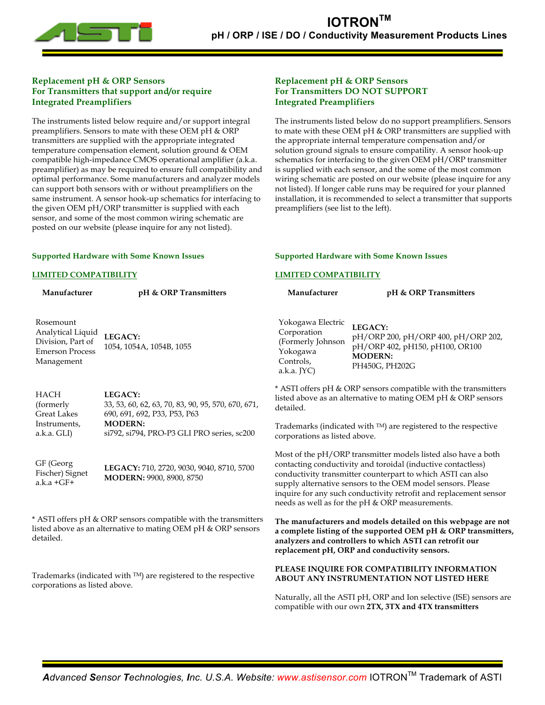

## **Replacement pH & ORP Sensors For Transmitters that support and/or require Integrated Preamplifiers**

The instruments listed below require and/or support integral preamplifiers. Sensors to mate with these OEM pH & ORP transmitters are supplied with the appropriate integrated temperature compensation element, solution ground & OEM compatible high-impedance CMOS operational amplifier (a.k.a. preamplifier) as may be required to ensure full compatibility and optimal performance. Some manufacturers and analyzer models can support both sensors with or without preamplifiers on the same instrument. A sensor hook-up schematics for interfacing to the given OEM pH/ORP transmitter is supplied with each sensor, and some of the most common wiring schematic are posted on our website (please inquire for any not listed).

## **Replacement pH & ORP Sensors For Transmitters DO NOT SUPPORT Integrated Preamplifiers**

**Supported Hardware with Some Known Issues**

**LIMITED COMPATIBILITY**

The instruments listed below do no support preamplifiers. Sensors to mate with these OEM pH & ORP transmitters are supplied with the appropriate internal temperature compensation and/or solution ground signals to ensure compatility. A sensor hook-up schematics for interfacing to the given OEM pH/ORP transmitter is supplied with each sensor, and the some of the most common wiring schematic are posted on our website (please inquire for any not listed). If longer cable runs may be required for your planned installation, it is recommended to select a transmitter that supports preamplifiers (see list to the left).

#### **Supported Hardware with Some Known Issues**

#### **LIMITED COMPATIBILITY**

Fischer) Signet a.k.a +GF+

| Manufacturer                                                                                | pH & ORP Transmitters                                                                         | Manufacturer                                                                                      | pH & ORP Transmitters                                                                                                            |
|---------------------------------------------------------------------------------------------|-----------------------------------------------------------------------------------------------|---------------------------------------------------------------------------------------------------|----------------------------------------------------------------------------------------------------------------------------------|
| Rosemount<br>Analytical Liquid<br>Division, Part of<br><b>Emerson Process</b><br>Management | LEGACY:<br>1054, 1054A, 1054B, 1055                                                           | Yokogawa Electric<br>Corporation<br>(Formerly Johnson<br>Yokogawa<br>Controls,<br>$a.k.a.$ $[YC]$ | LEGACY:<br>pH/ORP 200, pH/ORP 400, pH/ORP 202,<br>pH/ORP 402, pH150, pH100, OR100<br><b>MODERN:</b><br>PH450G, PH202G            |
| <b>HACH</b><br>(formerly)<br><b>Great Lakes</b>                                             | LEGACY:<br>33, 53, 60, 62, 63, 70, 83, 90, 95, 570, 670, 671,<br>690, 691, 692, P33, P53, P63 | detailed.                                                                                         | * ASTI offers pH & ORP sensors compatible with the transmitters<br>listed above as an alternative to mating OEM pH & ORP sensors |
| Instruments,<br>a.k.a. GLI)                                                                 | <b>MODERN:</b><br>si792, si794, PRO-P3 GLI PRO series, sc200                                  | corporations as listed above.                                                                     | Trademarks (indicated with $TM$ ) are registered to the respective                                                               |
| GF (Georg                                                                                   | LECACY, 710 2730 0020 0040 0710 E700                                                          |                                                                                                   | Most of the pH/ORP transmitter models listed also have a both<br>contacting conductivity and toroidal (inductive contactless)    |

ve a both contacting conductivity and toroidal (inductive contactless) conductivity transmitter counterpart to which ASTI can also supply alternative sensors to the OEM model sensors. Please inquire for any such conductivity retrofit and replacement sensor needs as well as for the pH & ORP measurements.

**The manufacturers and models detailed on this webpage are not a complete listing of the supported OEM pH & ORP transmitters, analyzers and controllers to which ASTI can retrofit our replacement pH, ORP and conductivity sensors.**

#### **PLEASE INQUIRE FOR COMPATIBILITY INFORMATION ABOUT ANY INSTRUMENTATION NOT LISTED HERE**

Naturally, all the ASTI pH, ORP and Ion selective (ISE) sensors are compatible with our own **2TX, 3TX and 4TX transmitters**

\* ASTI offers pH & ORP sensors compatible with the transmitters listed above as an alternative to mating OEM pH & ORP sensors detailed.

**MODERN:** 9900, 8900, 8750

**LEGACY:** 710, 2720, 9030, 9040, 8710, 5700

Trademarks (indicated with TM) are registered to the respective corporations as listed above.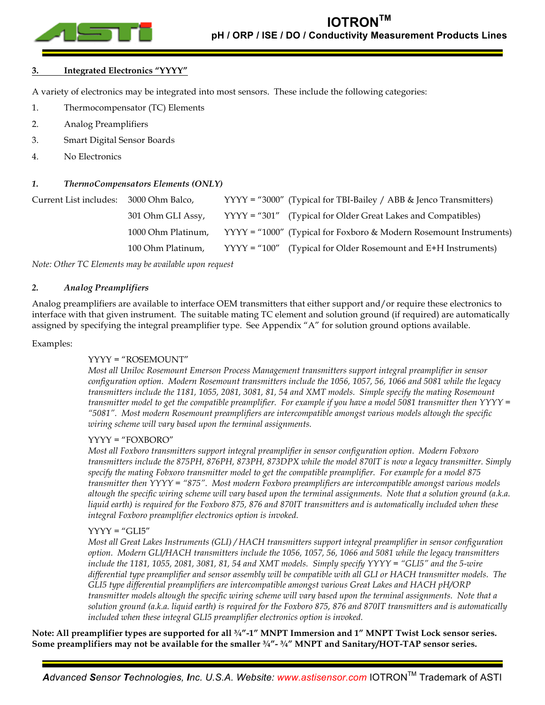

## **3. Integrated Electronics "YYYY"**

A variety of electronics may be integrated into most sensors. These include the following categories:

- 1. Thermocompensator (TC) Elements
- 2. Analog Preamplifiers
- 3. Smart Digital Sensor Boards
- 4. No Electronics

## *1. ThermoCompensators Elements (ONLY)*

| Current List includes: | 3000 Ohm Balco,    | $YYYY = "3000"$ (Typical for TBI-Bailey / ABB & Jenco Transmitters)  |
|------------------------|--------------------|----------------------------------------------------------------------|
|                        | 301 Ohm GLI Assy,  | YYYY = "301" (Typical for Older Great Lakes and Compatibles)         |
|                        | 1000 Ohm Platinum, | $YYYY = "1000"$ (Typical for Foxboro & Modern Rosemount Instruments) |
|                        | 100 Ohm Platinum,  | $YYYY = "100"$ (Typical for Older Rosemount and E+H Instruments)     |

*Note: Other TC Elements may be available upon request*

### *2. Analog Preamplifiers*

Analog preamplifiers are available to interface OEM transmitters that either support and/or require these electronics to interface with that given instrument. The suitable mating TC element and solution ground (if required) are automatically assigned by specifying the integral preamplifier type. See Appendix "A" for solution ground options available.

#### Examples:

### YYYY = "ROSEMOUNT"

*Most all Uniloc Rosemount Emerson Process Management transmitters support integral preamplifier in sensor configuration option. Modern Rosemount transmitters include the 1056, 1057, 56, 1066 and 5081 while the legacy transmitters include the 1181, 1055, 2081, 3081, 81, 54 and XMT models. Simple specify the mating Rosemount transmitter model to get the compatible preamplifier. For example if you have a model 5081 transmitter then YYYY = "5081". Most modern Rosemount preamplifiers are intercompatible amongst various models altough the specific wiring scheme will vary based upon the terminal assignments.*

### YYYY = "FOXBORO"

*Most all Foxboro transmitters support integral preamplifier in sensor configuration option. Modern Fobxoro transmitters include the 875PH, 876PH, 873PH, 873DPX while the model 870IT is now a legacy transmitter. Simply specify the mating Fobxoro transmitter model to get the compatible preamplifier. For example for a model 875 transmitter then YYYY = "875". Most modern Foxboro preamplifiers are intercompatible amongst various models altough the specific wiring scheme will vary based upon the terminal assignments. Note that a solution ground (a.k.a. liquid earth) is required for the Foxboro 875, 876 and 870IT transmitters and is automatically included when these integral Foxboro preamplifier electronics option is invoked.*

### $YYYY = "GLI5"$

*Most all Great Lakes Instruments (GLI) / HACH transmitters support integral preamplifier in sensor configuration option. Modern GLI/HACH transmitters include the 1056, 1057, 56, 1066 and 5081 while the legacy transmitters include the 1181, 1055, 2081, 3081, 81, 54 and XMT models. Simply specify YYYY = "GLI5" and the 5-wire differential type preamplifier and sensor assembly will be compatible with all GLI or HACH transmitter models. The GLI5 type differential preamplifiers are intercompatible amongst various Great Lakes and HACH pH/ORP transmitter models altough the specific wiring scheme will vary based upon the terminal assignments. Note that a solution ground (a.k.a. liquid earth) is required for the Foxboro 875, 876 and 870IT transmitters and is automatically included when these integral GLI5 preamplifier electronics option is invoked.*

**Note: All preamplifier types are supported for all ¾"-1" MNPT Immersion and 1" MNPT Twist Lock sensor series. Some preamplifiers may not be available for the smaller ¾"- ¾" MNPT and Sanitary/HOT-TAP sensor series.**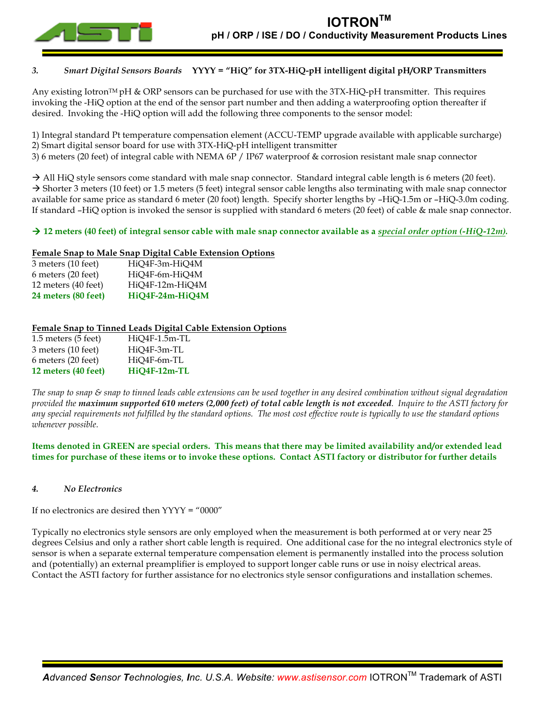

# *3. Smart Digital Sensors Boards* **YYYY = "HiQ" for 3TX-HiQ-pH intelligent digital pH/ORP Transmitters**

Any existing Iotron<sup>TM</sup> pH & ORP sensors can be purchased for use with the 3TX-HiQ-pH transmitter. This requires invoking the -HiQ option at the end of the sensor part number and then adding a waterproofing option thereafter if desired. Invoking the -HiQ option will add the following three components to the sensor model:

1) Integral standard Pt temperature compensation element (ACCU-TEMP upgrade available with applicable surcharge) 2) Smart digital sensor board for use with 3TX-HiQ-pH intelligent transmitter

3) 6 meters (20 feet) of integral cable with NEMA 6P / IP67 waterproof & corrosion resistant male snap connector

 $\rightarrow$  All HiQ style sensors come standard with male snap connector. Standard integral cable length is 6 meters (20 feet).  $\rightarrow$  Shorter 3 meters (10 feet) or 1.5 meters (5 feet) integral sensor cable lengths also terminating with male snap connector available for same price as standard 6 meter (20 foot) length. Specify shorter lengths by –HiQ-1.5m or –HiQ-3.0m coding. If standard –HiQ option is invoked the sensor is supplied with standard 6 meters (20 feet) of cable & male snap connector.

 $\rightarrow$  12 meters (40 feet) of integral sensor cable with male snap connector available as a *special order option* (-HiQ-12*m*).

## **Female Snap to Male Snap Digital Cable Extension Options**

| 3 meters (10 feet)  | HiQ4F-3m-HiQ4M  |
|---------------------|-----------------|
| 6 meters (20 feet)  | HiQ4F-6m-HiQ4M  |
| 12 meters (40 feet) | HiQ4F-12m-HiQ4M |
| 24 meters (80 feet) | HiQ4F-24m-HiQ4M |

# **Female Snap to Tinned Leads Digital Cable Extension Options**

| $1.5$ meters $(5$ feet) | $HiQ4F-1.5m-TL$ |
|-------------------------|-----------------|
| 3 meters (10 feet)      | HiQ4F-3m-TL     |
| 6 meters (20 feet)      | HiO4F-6m-TL     |
| 12 meters (40 feet)     | HiQ4F-12m-TL    |

*The snap to snap & snap to tinned leads cable extensions can be used together in any desired combination without signal degradation provided the maximum supported 610 meters (2,000 feet) of total cable length is not exceeded. Inquire to the ASTI factory for any special requirements not fulfilled by the standard options. The most cost effective route is typically to use the standard options whenever possible.*

**Items denoted in GREEN are special orders. This means that there may be limited availability and/or extended lead times for purchase of these items or to invoke these options. Contact ASTI factory or distributor for further details**

### *4. No Electronics*

If no electronics are desired then YYYY = "0000"

Typically no electronics style sensors are only employed when the measurement is both performed at or very near 25 degrees Celsius and only a rather short cable length is required. One additional case for the no integral electronics style of sensor is when a separate external temperature compensation element is permanently installed into the process solution and (potentially) an external preamplifier is employed to support longer cable runs or use in noisy electrical areas. Contact the ASTI factory for further assistance for no electronics style sensor configurations and installation schemes.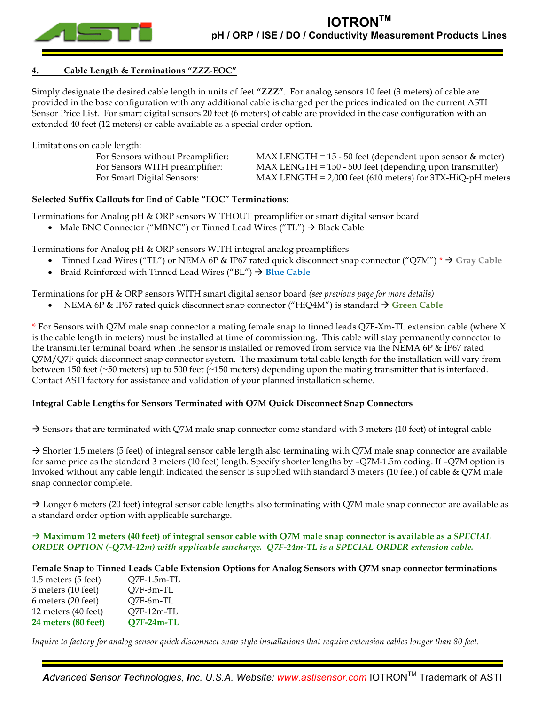

## **4. Cable Length & Terminations "ZZZ-EOC"**

Simply designate the desired cable length in units of feet **"ZZZ"**. For analog sensors 10 feet (3 meters) of cable are provided in the base configuration with any additional cable is charged per the prices indicated on the current ASTI Sensor Price List. For smart digital sensors 20 feet (6 meters) of cable are provided in the case configuration with an extended 40 feet (12 meters) or cable available as a special order option.

Limitations on cable length:

| For Sensors without Preamplifier: | $MAX LENGTH = 15 - 50 feet (dependent upon sensor & meter)$ |
|-----------------------------------|-------------------------------------------------------------|
| For Sensors WITH preamplifier:    | MAX LENGTH = 150 - 500 feet (depending upon transmitter)    |
| For Smart Digital Sensors:        | MAX LENGTH = 2,000 feet (610 meters) for 3TX-HiQ-pH meters  |
|                                   |                                                             |

### **Selected Suffix Callouts for End of Cable "EOC" Terminations:**

Terminations for Analog pH & ORP sensors WITHOUT preamplifier or smart digital sensor board

• Male BNC Connector ("MBNC") or Tinned Lead Wires ("TL")  $\rightarrow$  Black Cable

Terminations for Analog pH & ORP sensors WITH integral analog preamplifiers

- Tinned Lead Wires ("TL") or NEMA 6P & IP67 rated quick disconnect snap connector ("Q7M") \* ! **Gray Cable**
- Braid Reinforced with Tinned Lead Wires ("BL")  $\rightarrow$  Blue Cable

Terminations for pH & ORP sensors WITH smart digital sensor board *(see previous page for more details)*

NEMA 6P & IP67 rated quick disconnect snap connector ("HiQ4M") is standard → Green Cable

**\*** For Sensors with Q7M male snap connector a mating female snap to tinned leads Q7F-Xm-TL extension cable (where X is the cable length in meters) must be installed at time of commissioning. This cable will stay permanently connector to the transmitter terminal board when the sensor is installed or removed from service via the NEMA 6P & IP67 rated Q7M/Q7F quick disconnect snap connector system. The maximum total cable length for the installation will vary from between 150 feet (~50 meters) up to 500 feet (~150 meters) depending upon the mating transmitter that is interfaced. Contact ASTI factory for assistance and validation of your planned installation scheme.

# **Integral Cable Lengths for Sensors Terminated with Q7M Quick Disconnect Snap Connectors**

 $\rightarrow$  Sensors that are terminated with Q7M male snap connector come standard with 3 meters (10 feet) of integral cable

 $\rightarrow$  Shorter 1.5 meters (5 feet) of integral sensor cable length also terminating with Q7M male snap connector are available for same price as the standard 3 meters (10 feet) length. Specify shorter lengths by –Q7M-1.5m coding. If –Q7M option is invoked without any cable length indicated the sensor is supplied with standard 3 meters (10 feet) of cable  $\&$  Q7M male snap connector complete.

 $\rightarrow$  Longer 6 meters (20 feet) integral sensor cable lengths also terminating with Q7M male snap connector are available as a standard order option with applicable surcharge.

## ! **Maximum 12 meters (40 feet) of integral sensor cable with Q7M male snap connector is available as a** *SPECIAL ORDER OPTION (-Q7M-12m) with applicable surcharge. Q7F-24m-TL is a SPECIAL ORDER extension cable.*

### **Female Snap to Tinned Leads Cable Extension Options for Analog Sensors with Q7M snap connector terminations**

| 24 meters (80 feet) | $Q7F-24m-TL$ |
|---------------------|--------------|
| 12 meters (40 feet) | Q7F-12m-TL   |
| 6 meters (20 feet)  | O7F-6m-TL    |
| 3 meters (10 feet)  | O7F-3m-TL    |
| 1.5 meters (5 feet) | O7F-1.5m-TL  |

*Inquire to factory for analog sensor quick disconnect snap style installations that require extension cables longer than 80 feet.*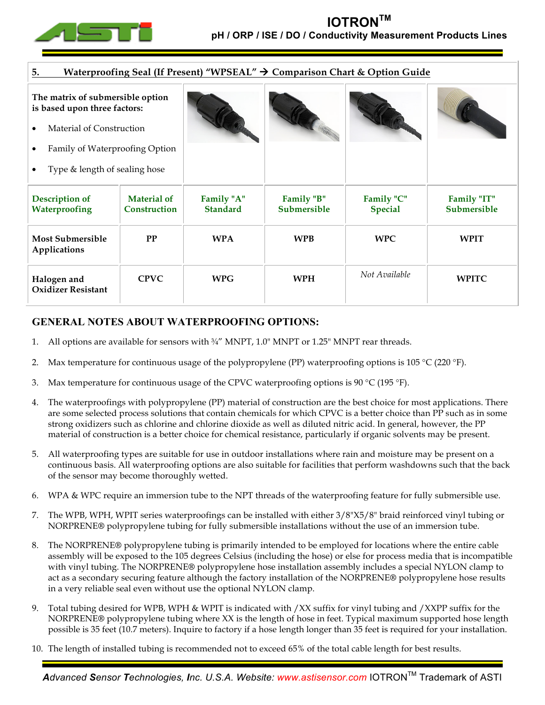

| 5.<br>Waterproofing Seal (If Present) "WPSEAL" → Comparison Chart & Option Guide |                                    |                               |                                  |                              |                            |  |  |
|----------------------------------------------------------------------------------|------------------------------------|-------------------------------|----------------------------------|------------------------------|----------------------------|--|--|
| The matrix of submersible option<br>is based upon three factors:                 |                                    |                               |                                  |                              |                            |  |  |
| Material of Construction                                                         |                                    |                               |                                  |                              |                            |  |  |
| Family of Waterproofing Option                                                   |                                    |                               |                                  |                              |                            |  |  |
| Type & length of sealing hose                                                    |                                    |                               |                                  |                              |                            |  |  |
| <b>Description of</b><br>Waterproofing                                           | <b>Material of</b><br>Construction | Family "A"<br><b>Standard</b> | Family "B"<br><b>Submersible</b> | Family "C"<br><b>Special</b> | Family "IT"<br>Submersible |  |  |
| <b>Most Submersible</b><br>Applications                                          | PP                                 | <b>WPA</b>                    | <b>WPB</b>                       | <b>WPC</b>                   | <b>WPIT</b>                |  |  |
| Halogen and<br><b>Oxidizer Resistant</b>                                         | <b>CPVC</b>                        | <b>WPG</b>                    | <b>WPH</b>                       | Not Available                | <b>WPITC</b>               |  |  |

# **GENERAL NOTES ABOUT WATERPROOFING OPTIONS:**

- 1. All options are available for sensors with  $\frac{3}{4}$ " MNPT, 1.0" MNPT or 1.25" MNPT rear threads.
- 2. Max temperature for continuous usage of the polypropylene (PP) waterproofing options is 105 °C (220 °F).
- 3. Max temperature for continuous usage of the CPVC waterproofing options is 90 °C (195 °F).
- 4. The waterproofings with polypropylene (PP) material of construction are the best choice for most applications. There are some selected process solutions that contain chemicals for which CPVC is a better choice than PP such as in some strong oxidizers such as chlorine and chlorine dioxide as well as diluted nitric acid. In general, however, the PP material of construction is a better choice for chemical resistance, particularly if organic solvents may be present.
- 5. All waterproofing types are suitable for use in outdoor installations where rain and moisture may be present on a continuous basis. All waterproofing options are also suitable for facilities that perform washdowns such that the back of the sensor may become thoroughly wetted.
- 6. WPA & WPC require an immersion tube to the NPT threads of the waterproofing feature for fully submersible use.
- 7. The WPB, WPH, WPIT series waterproofings can be installed with either 3/8"X5/8" braid reinforced vinyl tubing or NORPRENE**®** polypropylene tubing for fully submersible installations without the use of an immersion tube.
- 8. The NORPRENE**®** polypropylene tubing is primarily intended to be employed for locations where the entire cable assembly will be exposed to the 105 degrees Celsius (including the hose) or else for process media that is incompatible with vinyl tubing. The NORPRENE**®** polypropylene hose installation assembly includes a special NYLON clamp to act as a secondary securing feature although the factory installation of the NORPRENE**®** polypropylene hose results in a very reliable seal even without use the optional NYLON clamp.
- 9. Total tubing desired for WPB, WPH & WPIT is indicated with /XX suffix for vinyl tubing and /XXPP suffix for the NORPRENE**®** polypropylene tubing where XX is the length of hose in feet. Typical maximum supported hose length possible is 35 feet (10.7 meters). Inquire to factory if a hose length longer than 35 feet is required for your installation.
- 10. The length of installed tubing is recommended not to exceed 65% of the total cable length for best results.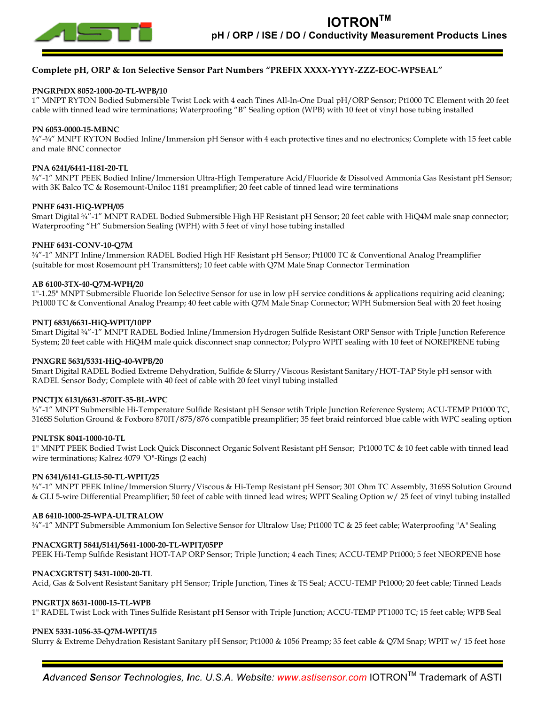

## **Complete pH, ORP & Ion Selective Sensor Part Numbers "PREFIX XXXX-YYYY-ZZZ-EOC-WPSEAL"**

#### **PNGRPtDX 8052-1000-20-TL-WPB/10**

1" MNPT RYTON Bodied Submersible Twist Lock with 4 each Tines All-In-One Dual pH/ORP Sensor; Pt1000 TC Element with 20 feet cable with tinned lead wire terminations; Waterproofing "B" Sealing option (WPB) with 10 feet of vinyl hose tubing installed

#### **PN 6053-0000-15-MBNC**

¾"-¾" MNPT RYTON Bodied Inline/Immersion pH Sensor with 4 each protective tines and no electronics; Complete with 15 feet cable and male BNC connector

#### **PNA 6241/6441-1181-20-TL**

¾"-1" MNPT PEEK Bodied Inline/Immersion Ultra-High Temperature Acid/Fluoride & Dissolved Ammonia Gas Resistant pH Sensor; with 3K Balco TC & Rosemount-Uniloc 1181 preamplifier; 20 feet cable of tinned lead wire terminations

#### **PNHF 6431-HiQ-WPH/05**

Smart Digital <sup>3</sup>/4"-1" MNPT RADEL Bodied Submersible High HF Resistant pH Sensor; 20 feet cable with HiQ4M male snap connector; Waterproofing "H" Submersion Sealing (WPH) with 5 feet of vinyl hose tubing installed

#### **PNHF 6431-CONV-10-Q7M**

¾"-1" MNPT Inline/Immersion RADEL Bodied High HF Resistant pH Sensor; Pt1000 TC & Conventional Analog Preamplifier (suitable for most Rosemount pH Transmitters); 10 feet cable with Q7M Male Snap Connector Termination

#### **AB 6100-3TX-40-Q7M-WPH/20**

1"-1.25" MNPT Submersible Fluoride Ion Selective Sensor for use in low pH service conditions & applications requiring acid cleaning; Pt1000 TC & Conventional Analog Preamp; 40 feet cable with Q7M Male Snap Connector; WPH Submersion Seal with 20 feet hosing

#### **PNTJ 6831/6631-HiQ-WPIT/10PP**

Smart Digital ¾"-1" MNPT RADEL Bodied Inline/Immersion Hydrogen Sulfide Resistant ORP Sensor with Triple Junction Reference System; 20 feet cable with HiQ4M male quick disconnect snap connector; Polypro WPIT sealing with 10 feet of NOREPRENE tubing

#### **PNXGRE 5631/5331-HiQ-40-WPB/20**

Smart Digital RADEL Bodied Extreme Dehydration, Sulfide & Slurry/Viscous Resistant Sanitary/HOT-TAP Style pH sensor with RADEL Sensor Body; Complete with 40 feet of cable with 20 feet vinyl tubing installed

#### **PNCTJX 6131/6631-870IT-35-BL-WPC**

¾"-1" MNPT Submersible Hi-Temperature Sulfide Resistant pH Sensor wtih Triple Junction Reference System; ACU-TEMP Pt1000 TC, 316SS Solution Ground & Foxboro 870IT/875/876 compatible preamplifier; 35 feet braid reinforced blue cable with WPC sealing option

#### **PNLTSK 8041-1000-10-TL**

1" MNPT PEEK Bodied Twist Lock Quick Disconnect Organic Solvent Resistant pH Sensor; Pt1000 TC & 10 feet cable with tinned lead wire terminations; Kalrez 4079 "O"-Rings (2 each)

#### **PN 6341/6141-GLI5-50-TL-WPIT/25**

¾"-1" MNPT PEEK Inline/Immersion Slurry/Viscous & Hi-Temp Resistant pH Sensor; 301 Ohm TC Assembly, 316SS Solution Ground & GLI 5-wire Differential Preamplifier; 50 feet of cable with tinned lead wires; WPIT Sealing Option w/ 25 feet of vinyl tubing installed

#### **AB 6410-1000-25-WPA-ULTRALOW**

¾"-1" MNPT Submersible Ammonium Ion Selective Sensor for Ultralow Use; Pt1000 TC & 25 feet cable; Waterproofing "A" Sealing

#### **PNACXGRTJ 5841/5141/5641-1000-20-TL-WPIT/05PP**

PEEK Hi-Temp Sulfide Resistant HOT-TAP ORP Sensor; Triple Junction; 4 each Tines; ACCU-TEMP Pt1000; 5 feet NEORPENE hose

#### **PNACXGRTSTJ 5431-1000-20-TL**

Acid, Gas & Solvent Resistant Sanitary pH Sensor; Triple Junction, Tines & TS Seal; ACCU-TEMP Pt1000; 20 feet cable; Tinned Leads

#### **PNGRTJX 8631-1000-15-TL-WPB**

1" RADEL Twist Lock with Tines Sulfide Resistant pH Sensor with Triple Junction; ACCU-TEMP PT1000 TC; 15 feet cable; WPB Seal

#### **PNEX 5331-1056-35-Q7M-WPIT/15**

Slurry & Extreme Dehydration Resistant Sanitary pH Sensor; Pt1000 & 1056 Preamp; 35 feet cable & Q7M Snap; WPIT w/ 15 feet hose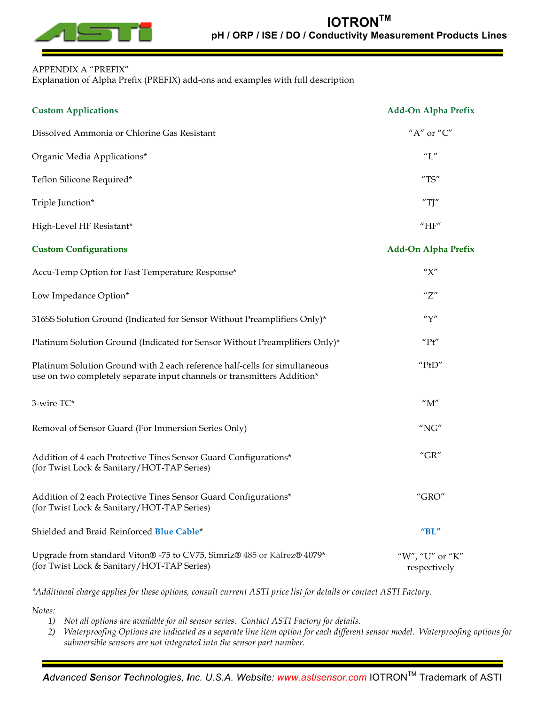

# APPENDIX A "PREFIX"

Explanation of Alpha Prefix (PREFIX) add-ons and examples with full description

| <b>Custom Applications</b>                                                                                                                            | <b>Add-On Alpha Prefix</b>               |
|-------------------------------------------------------------------------------------------------------------------------------------------------------|------------------------------------------|
| Dissolved Ammonia or Chlorine Gas Resistant                                                                                                           | "A" or " $C$ "                           |
| Organic Media Applications*                                                                                                                           | $^{\prime\prime}$ L $^{\prime\prime}$    |
| Teflon Silicone Required*                                                                                                                             | $^{\prime\prime}{\rm TS}^{\prime\prime}$ |
| Triple Junction*                                                                                                                                      | "TJ"                                     |
| High-Level HF Resistant*                                                                                                                              | $^{\prime\prime}{\rm HF}^{\prime\prime}$ |
| <b>Custom Configurations</b>                                                                                                                          | <b>Add-On Alpha Prefix</b>               |
| Accu-Temp Option for Fast Temperature Response*                                                                                                       | ''X''                                    |
| Low Impedance Option*                                                                                                                                 | "Z"                                      |
| 316SS Solution Ground (Indicated for Sensor Without Preamplifiers Only)*                                                                              | ''Y''                                    |
| Platinum Solution Ground (Indicated for Sensor Without Preamplifiers Only)*                                                                           | ''Pt''                                   |
| Platinum Solution Ground with 2 each reference half-cells for simultaneous<br>use on two completely separate input channels or transmitters Addition* | ''PtD''                                  |
| 3-wire TC*                                                                                                                                            | $^{\prime\prime}{\rm M}^{\prime\prime}$  |
| Removal of Sensor Guard (For Immersion Series Only)                                                                                                   | ''NG''                                   |
| Addition of 4 each Protective Tines Sensor Guard Configurations*<br>(for Twist Lock & Sanitary/HOT-TAP Series)                                        | $^{\prime\prime}$ GR $^{\prime\prime}$   |
| Addition of 2 each Protective Tines Sensor Guard Configurations*<br>(for Twist Lock & Sanitary/HOT-TAP Series)                                        | $^{\prime\prime}$ GRO"                   |
| Shielded and Braid Reinforced Blue Cable*                                                                                                             | "BL"                                     |
| Upgrade from standard Viton® -75 to CV75, Simriz® 485 or Kalrez® 4079*<br>(for Twist Lock & Sanitary/HOT-TAP Series)                                  | "W", "U" or "K"<br>respectively          |

*\*Additional charge applies for these options, consult current ASTI price list for details or contact ASTI Factory.*

*Notes:*

*1) Not all options are available for all sensor series. Contact ASTI Factory for details.*

*2) Waterproofing Options are indicated as a separate line item option for each different sensor model. Waterproofing options for submersible sensors are not integrated into the sensor part number.*